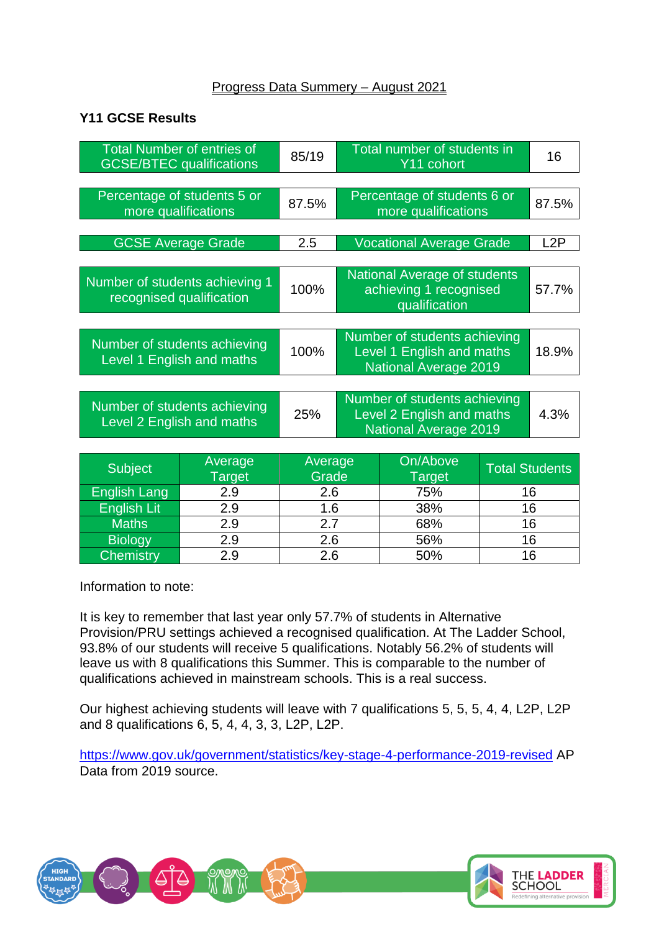## Progress Data Summery – August 2021

## **Y11 GCSE Results**

| <b>Total Number of entries of</b>                          |         | 85/19   |                                                                                           | Total number of students in                                                    |                       | 16    |
|------------------------------------------------------------|---------|---------|-------------------------------------------------------------------------------------------|--------------------------------------------------------------------------------|-----------------------|-------|
| <b>GCSE/BTEC qualifications</b>                            |         |         |                                                                                           | Y11 cohort                                                                     |                       |       |
|                                                            |         |         |                                                                                           |                                                                                |                       |       |
| Percentage of students 5 or<br>more qualifications         |         | 87.5%   |                                                                                           | Percentage of students 6 or<br>more qualifications                             |                       | 87.5% |
|                                                            |         |         |                                                                                           |                                                                                |                       |       |
| <b>GCSE Average Grade</b>                                  |         | 2.5     | <b>Vocational Average Grade</b>                                                           |                                                                                |                       | L2P   |
|                                                            |         |         |                                                                                           |                                                                                |                       |       |
| Number of students achieving 1<br>recognised qualification |         | 100%    |                                                                                           | <b>National Average of students</b><br>achieving 1 recognised<br>qualification |                       | 57.7% |
|                                                            |         |         |                                                                                           |                                                                                |                       |       |
| Number of students achieving<br>Level 1 English and maths  |         | 100%    | Number of students achieving<br>Level 1 English and maths<br><b>National Average 2019</b> |                                                                                |                       | 18.9% |
|                                                            |         |         |                                                                                           |                                                                                |                       |       |
| Number of students achieving<br>Level 2 English and maths  |         | 25%     | Number of students achieving<br>Level 2 English and maths<br><b>National Average 2019</b> |                                                                                |                       | 4.3%  |
|                                                            |         |         |                                                                                           |                                                                                |                       |       |
| <b>Subject</b>                                             | Average | Average |                                                                                           | On/Above                                                                       | <b>Total Students</b> |       |
|                                                            | Target  | Grade   |                                                                                           | <b>Target</b>                                                                  |                       |       |
| <b>English Lang</b>                                        | 2.9     | 2.6     |                                                                                           | 75%                                                                            | 16                    |       |
| <b>English Lit</b>                                         | 2.9     | 1.6     |                                                                                           | 38%                                                                            |                       | 16    |
| <b>Maths</b>                                               | 2.9     | 2.7     |                                                                                           | 68%                                                                            | 16                    |       |

Information to note:

It is key to remember that last year only 57.7% of students in Alternative Provision/PRU settings achieved a recognised qualification. At The Ladder School, 93.8% of our students will receive 5 qualifications. Notably 56.2% of students will leave us with 8 qualifications this Summer. This is comparable to the number of qualifications achieved in mainstream schools. This is a real success.

Biology | 2.9 | 2.6 | 56% | 16 Chemistry 2.9 2.6 50% 16

Our highest achieving students will leave with 7 qualifications 5, 5, 5, 4, 4, L2P, L2P and 8 qualifications 6, 5, 4, 4, 3, 3, L2P, L2P.

<https://www.gov.uk/government/statistics/key-stage-4-performance-2019-revised> AP Data from 2019 source.